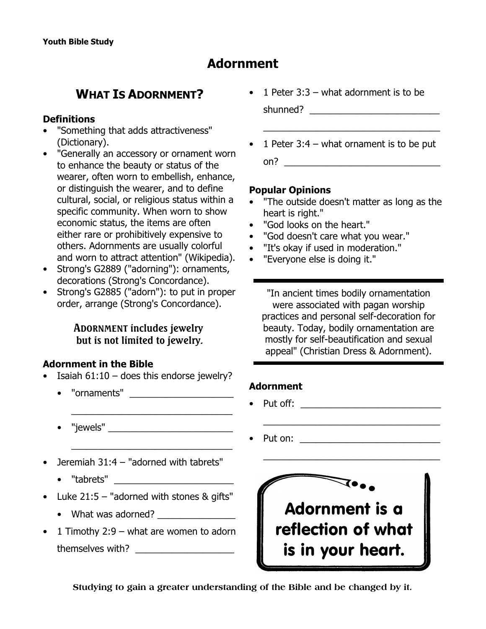# **Adornment**

# **WHAT IS ADORNMENT?**

#### **Definitions**

- "Something that adds attractiveness" (*Dictionary*).
- "Generally an accessory or ornament worn to enhance the beauty or status of the wearer, often worn to embellish, enhance, or distinguish the wearer, and to define cultural, social, or religious status within a specific community. When worn to show economic status, the items are often either rare or prohibitively expensive to others. Adornments are usually colorful and worn to attract attention" (*Wikipedia*).
- Strong's G2889 ("adorning"): ornaments, decorations (*Strong's Concordance*).
- Strong's G2885 ("adorn"): to put in proper order, arrange (*Strong's Concordance*).

## **ADORNMENT includes jewelry but is not limited to jewelry.**

#### **Adornment in the Bible**

Isaiah  $61:10 -$  does this endorse jewelry?

\_\_\_\_\_\_\_\_\_\_\_\_\_\_\_\_\_\_\_\_\_\_\_\_\_\_\_\_\_\_\_

\_\_\_\_\_\_\_\_\_\_\_\_\_\_\_\_\_\_\_\_\_\_\_\_\_\_\_\_\_\_\_

- "ornaments" \_\_\_\_\_\_\_\_\_\_\_\_\_\_\_\_\_\_\_\_
- "jewels" \_\_\_\_\_\_\_\_\_\_\_\_\_\_\_\_\_\_\_\_\_\_\_\_
- Jeremiah 31:4 "adorned with tabrets"
	- "tabrets" \_\_\_\_\_\_\_\_\_\_\_\_\_\_\_\_\_\_\_\_\_\_\_
- Luke  $21:5$  "adorned with stones & gifts"
	- What was adorned?
- 1 Timothy 2:9 what are women to adorn themselves with?
- 1 Peter  $3:3 -$  what adornment is to be shunned? \_\_\_\_\_\_\_\_\_\_\_\_\_\_\_\_\_\_\_\_\_\_\_\_\_
- 1 Peter  $3:4$  what ornament is to be put  $\mathsf{on?}$

 $\frac{1}{2}$ 

#### **Popular Opinions**

- "The outside doesn't matter as long as the heart is right."
- "God looks on the heart."
- "God doesn't care what you wear."
- "It's okay if used in moderation."
- "Everyone else is doing it."

"In ancient times bodily ornamentation were associated with pagan worship practices and personal self-decoration for beauty. Today, bodily ornamentation are mostly for self-beautification and sexual appeal" (*Christian Dress & Adornment).*

\_\_\_\_\_\_\_\_\_\_\_\_\_\_\_\_\_\_\_\_\_\_\_\_\_\_\_\_\_\_\_\_\_\_

\_\_\_\_\_\_\_\_\_\_\_\_\_\_\_\_\_\_\_\_\_\_\_\_\_\_\_\_\_\_\_\_\_\_

#### **Adornment**

- Put off: \_\_\_\_\_\_\_\_\_\_\_\_\_\_\_\_\_\_\_\_\_\_\_\_\_\_\_
- Put on: \_\_\_\_\_\_\_\_\_\_\_\_\_\_\_\_\_\_\_\_\_\_\_\_\_\_\_



**Studying to gain a greater understanding of the Bible and be changed by it.**